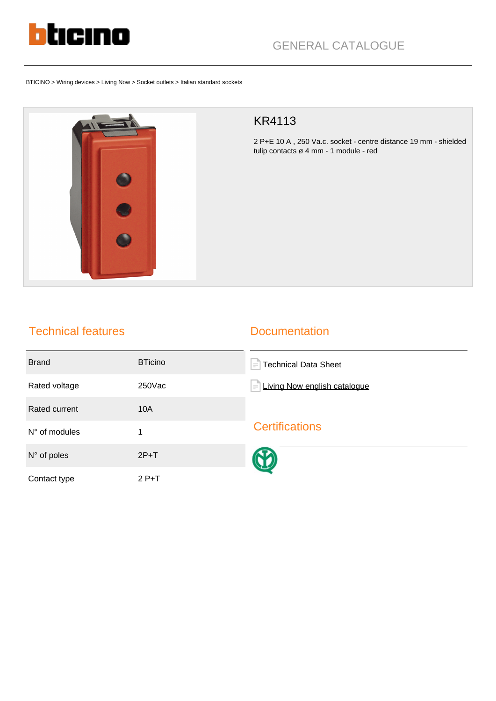

BTICINO > Wiring devices > Living Now > Socket outlets > Italian standard sockets



## KR4113

2 P+E 10 A , 250 Va.c. socket - centre distance 19 mm - shielded tulip contacts ø 4 mm - 1 module - red

## Technical features

## **Documentation**

| <b>Brand</b>           | <b>BTicino</b> | <b>Technical Data Sheet</b><br>$\equiv$ |
|------------------------|----------------|-----------------------------------------|
| Rated voltage          | 250Vac         | Living Now english catalogue<br>l≡      |
| Rated current          | <b>10A</b>     |                                         |
| $N^{\circ}$ of modules | 1              | <b>Certifications</b>                   |
| $N^{\circ}$ of poles   | $2P+T$         |                                         |
| Contact type           | $2P+T$         |                                         |